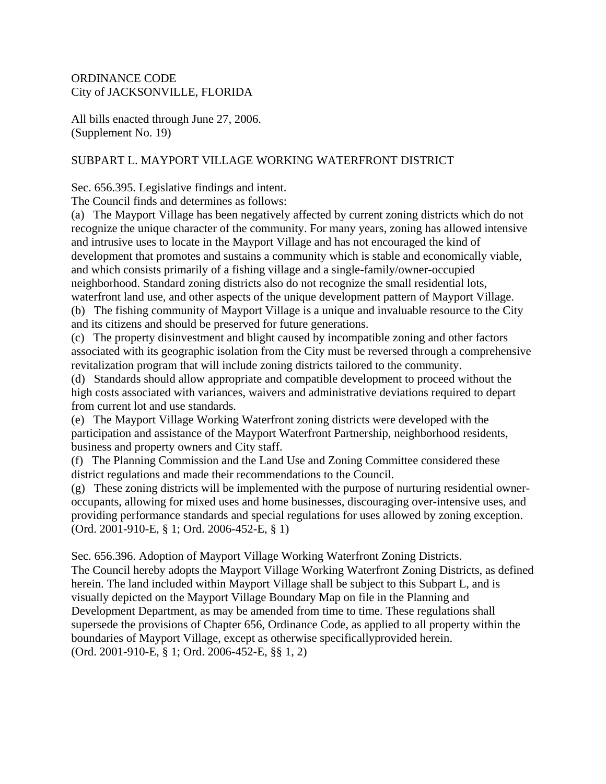### ORDINANCE CODE City of JACKSONVILLE, FLORIDA

All bills enacted through June 27, 2006. (Supplement No. 19)

## SUBPART L. MAYPORT VILLAGE WORKING WATERFRONT DISTRICT

Sec. 656.395. Legislative findings and intent.

The Council finds and determines as follows:

(a) The Mayport Village has been negatively affected by current zoning districts which do not recognize the unique character of the community. For many years, zoning has allowed intensive and intrusive uses to locate in the Mayport Village and has not encouraged the kind of development that promotes and sustains a community which is stable and economically viable, and which consists primarily of a fishing village and a single-family/owner-occupied neighborhood. Standard zoning districts also do not recognize the small residential lots, waterfront land use, and other aspects of the unique development pattern of Mayport Village. (b) The fishing community of Mayport Village is a unique and invaluable resource to the City

and its citizens and should be preserved for future generations.

(c) The property disinvestment and blight caused by incompatible zoning and other factors associated with its geographic isolation from the City must be reversed through a comprehensive revitalization program that will include zoning districts tailored to the community.

(d) Standards should allow appropriate and compatible development to proceed without the high costs associated with variances, waivers and administrative deviations required to depart from current lot and use standards.

(e) The Mayport Village Working Waterfront zoning districts were developed with the participation and assistance of the Mayport Waterfront Partnership, neighborhood residents, business and property owners and City staff.

(f) The Planning Commission and the Land Use and Zoning Committee considered these district regulations and made their recommendations to the Council.

(g) These zoning districts will be implemented with the purpose of nurturing residential owneroccupants, allowing for mixed uses and home businesses, discouraging over-intensive uses, and providing performance standards and special regulations for uses allowed by zoning exception. (Ord. 2001-910-E, § 1; Ord. 2006-452-E, § 1)

Sec. 656.396. Adoption of Mayport Village Working Waterfront Zoning Districts. The Council hereby adopts the Mayport Village Working Waterfront Zoning Districts, as defined herein. The land included within Mayport Village shall be subject to this Subpart L, and is visually depicted on the Mayport Village Boundary Map on file in the Planning and Development Department, as may be amended from time to time. These regulations shall supersede the provisions of Chapter 656, Ordinance Code, as applied to all property within the boundaries of Mayport Village, except as otherwise specificallyprovided herein. (Ord. 2001-910-E, § 1; Ord. 2006-452-E, §§ 1, 2)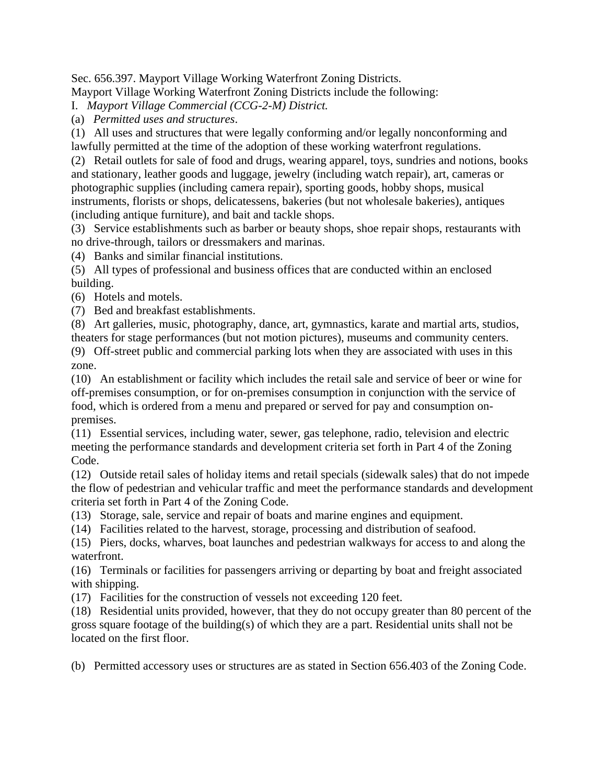Sec. 656.397. Mayport Village Working Waterfront Zoning Districts.

Mayport Village Working Waterfront Zoning Districts include the following:

I. *Mayport Village Commercial (CCG-2-M) District.*

(a) *Permitted uses and structures*.

(1) All uses and structures that were legally conforming and/or legally nonconforming and lawfully permitted at the time of the adoption of these working waterfront regulations.

(2) Retail outlets for sale of food and drugs, wearing apparel, toys, sundries and notions, books and stationary, leather goods and luggage, jewelry (including watch repair), art, cameras or photographic supplies (including camera repair), sporting goods, hobby shops, musical instruments, florists or shops, delicatessens, bakeries (but not wholesale bakeries), antiques (including antique furniture), and bait and tackle shops.

(3) Service establishments such as barber or beauty shops, shoe repair shops, restaurants with no drive-through, tailors or dressmakers and marinas.

(4) Banks and similar financial institutions.

(5) All types of professional and business offices that are conducted within an enclosed building.

(6) Hotels and motels.

(7) Bed and breakfast establishments.

(8) Art galleries, music, photography, dance, art, gymnastics, karate and martial arts, studios, theaters for stage performances (but not motion pictures), museums and community centers.

(9) Off-street public and commercial parking lots when they are associated with uses in this zone.

(10) An establishment or facility which includes the retail sale and service of beer or wine for off-premises consumption, or for on-premises consumption in conjunction with the service of food, which is ordered from a menu and prepared or served for pay and consumption onpremises.

(11) Essential services, including water, sewer, gas telephone, radio, television and electric meeting the performance standards and development criteria set forth in Part 4 of the Zoning Code.

(12) Outside retail sales of holiday items and retail specials (sidewalk sales) that do not impede the flow of pedestrian and vehicular traffic and meet the performance standards and development criteria set forth in Part 4 of the Zoning Code.

(13) Storage, sale, service and repair of boats and marine engines and equipment.

(14) Facilities related to the harvest, storage, processing and distribution of seafood.

(15) Piers, docks, wharves, boat launches and pedestrian walkways for access to and along the waterfront.

(16) Terminals or facilities for passengers arriving or departing by boat and freight associated with shipping.

(17) Facilities for the construction of vessels not exceeding 120 feet.

(18) Residential units provided, however, that they do not occupy greater than 80 percent of the gross square footage of the building(s) of which they are a part. Residential units shall not be located on the first floor.

(b) Permitted accessory uses or structures are as stated in Section 656.403 of the Zoning Code.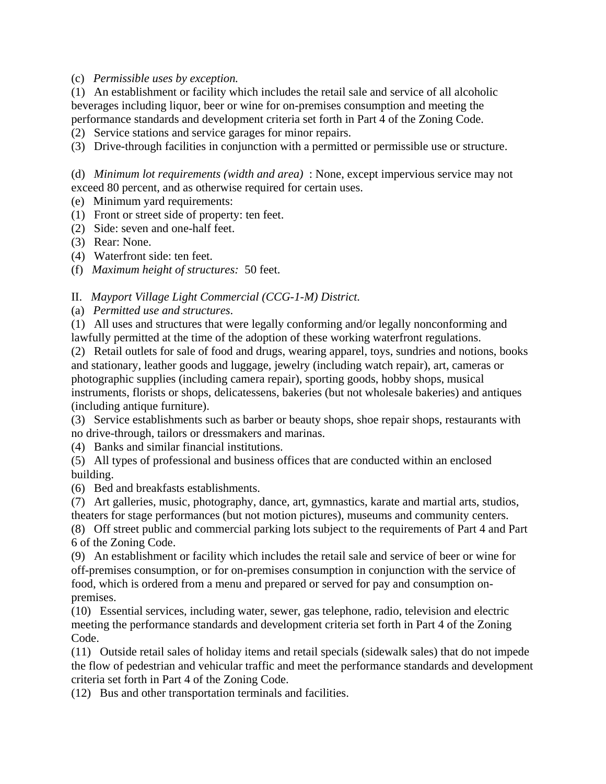#### (c) *Permissible uses by exception.*

(1) An establishment or facility which includes the retail sale and service of all alcoholic beverages including liquor, beer or wine for on-premises consumption and meeting the performance standards and development criteria set forth in Part 4 of the Zoning Code.

(2) Service stations and service garages for minor repairs.

(3) Drive-through facilities in conjunction with a permitted or permissible use or structure.

(d) *Minimum lot requirements (width and area)* : None, except impervious service may not exceed 80 percent, and as otherwise required for certain uses.

- (e) Minimum yard requirements:
- (1) Front or street side of property: ten feet.
- (2) Side: seven and one-half feet.
- (3) Rear: None.
- (4) Waterfront side: ten feet.
- (f) *Maximum height of structures:* 50 feet.

### II. *Mayport Village Light Commercial (CCG-1-M) District.*

(a) *Permitted use and structures*.

(1) All uses and structures that were legally conforming and/or legally nonconforming and lawfully permitted at the time of the adoption of these working waterfront regulations.

(2) Retail outlets for sale of food and drugs, wearing apparel, toys, sundries and notions, books and stationary, leather goods and luggage, jewelry (including watch repair), art, cameras or photographic supplies (including camera repair), sporting goods, hobby shops, musical instruments, florists or shops, delicatessens, bakeries (but not wholesale bakeries) and antiques (including antique furniture).

(3) Service establishments such as barber or beauty shops, shoe repair shops, restaurants with no drive-through, tailors or dressmakers and marinas.

(4) Banks and similar financial institutions.

(5) All types of professional and business offices that are conducted within an enclosed building.

(6) Bed and breakfasts establishments.

(7) Art galleries, music, photography, dance, art, gymnastics, karate and martial arts, studios, theaters for stage performances (but not motion pictures), museums and community centers.

(8) Off street public and commercial parking lots subject to the requirements of Part 4 and Part 6 of the Zoning Code.

(9) An establishment or facility which includes the retail sale and service of beer or wine for off-premises consumption, or for on-premises consumption in conjunction with the service of food, which is ordered from a menu and prepared or served for pay and consumption onpremises.

(10) Essential services, including water, sewer, gas telephone, radio, television and electric meeting the performance standards and development criteria set forth in Part 4 of the Zoning Code.

(11) Outside retail sales of holiday items and retail specials (sidewalk sales) that do not impede the flow of pedestrian and vehicular traffic and meet the performance standards and development criteria set forth in Part 4 of the Zoning Code.

(12) Bus and other transportation terminals and facilities.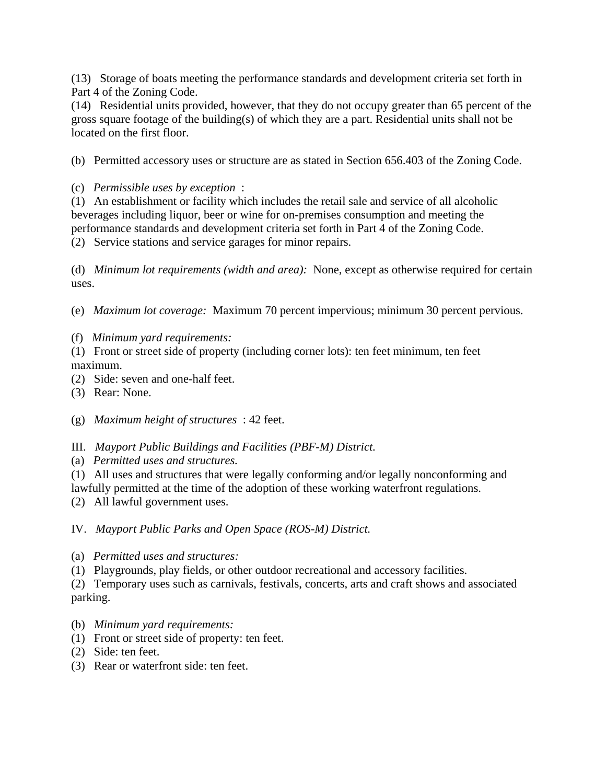(13) Storage of boats meeting the performance standards and development criteria set forth in Part 4 of the Zoning Code.

(14) Residential units provided, however, that they do not occupy greater than 65 percent of the gross square footage of the building(s) of which they are a part. Residential units shall not be located on the first floor.

(b) Permitted accessory uses or structure are as stated in Section 656.403 of the Zoning Code.

(c) *Permissible uses by exception* :

(1) An establishment or facility which includes the retail sale and service of all alcoholic beverages including liquor, beer or wine for on-premises consumption and meeting the performance standards and development criteria set forth in Part 4 of the Zoning Code.

(2) Service stations and service garages for minor repairs.

(d) *Minimum lot requirements (width and area):* None, except as otherwise required for certain uses.

(e) *Maximum lot coverage:* Maximum 70 percent impervious; minimum 30 percent pervious.

(f) *Minimum yard requirements:*

(1) Front or street side of property (including corner lots): ten feet minimum, ten feet maximum.

(2) Side: seven and one-half feet.

(3) Rear: None.

(g) *Maximum height of structures* : 42 feet.

III. *Mayport Public Buildings and Facilities (PBF-M) District.*

(a) *Permitted uses and structures.*

(1) All uses and structures that were legally conforming and/or legally nonconforming and

lawfully permitted at the time of the adoption of these working waterfront regulations.

(2) All lawful government uses.

IV. *Mayport Public Parks and Open Space (ROS-M) District.*

(a) *Permitted uses and structures:*

(1) Playgrounds, play fields, or other outdoor recreational and accessory facilities.

(2) Temporary uses such as carnivals, festivals, concerts, arts and craft shows and associated parking.

- (b) *Minimum yard requirements:*
- (1) Front or street side of property: ten feet.
- (2) Side: ten feet.
- (3) Rear or waterfront side: ten feet.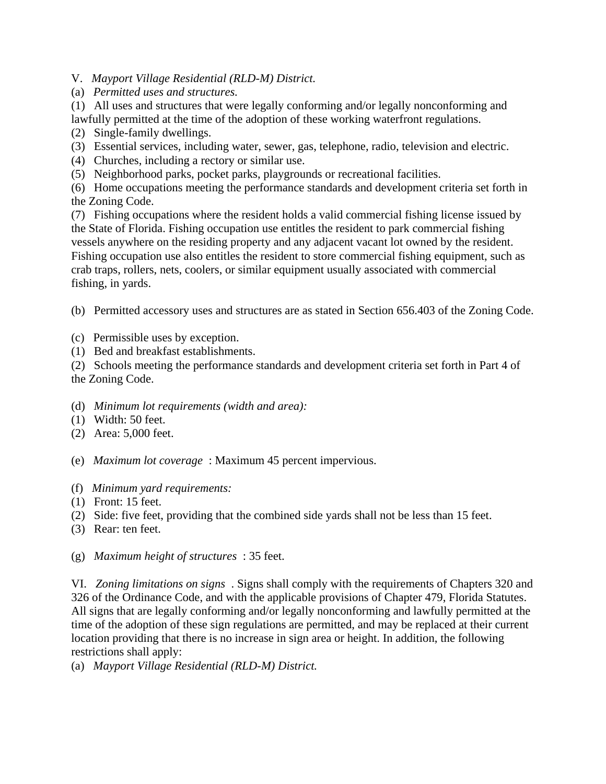V. *Mayport Village Residential (RLD-M) District.*

(a) *Permitted uses and structures.*

(1) All uses and structures that were legally conforming and/or legally nonconforming and lawfully permitted at the time of the adoption of these working waterfront regulations.

- (2) Single-family dwellings.
- (3) Essential services, including water, sewer, gas, telephone, radio, television and electric.
- (4) Churches, including a rectory or similar use.

(5) Neighborhood parks, pocket parks, playgrounds or recreational facilities.

(6) Home occupations meeting the performance standards and development criteria set forth in the Zoning Code.

(7) Fishing occupations where the resident holds a valid commercial fishing license issued by the State of Florida. Fishing occupation use entitles the resident to park commercial fishing vessels anywhere on the residing property and any adjacent vacant lot owned by the resident. Fishing occupation use also entitles the resident to store commercial fishing equipment, such as crab traps, rollers, nets, coolers, or similar equipment usually associated with commercial fishing, in yards.

(b) Permitted accessory uses and structures are as stated in Section 656.403 of the Zoning Code.

- (c) Permissible uses by exception.
- (1) Bed and breakfast establishments.

(2) Schools meeting the performance standards and development criteria set forth in Part 4 of the Zoning Code.

- (d) *Minimum lot requirements (width and area):*
- (1) Width: 50 feet.
- (2) Area: 5,000 feet.
- (e) *Maximum lot coverage* : Maximum 45 percent impervious.
- (f) *Minimum yard requirements:*
- (1) Front: 15 feet.
- (2) Side: five feet, providing that the combined side yards shall not be less than 15 feet.
- (3) Rear: ten feet.
- (g) *Maximum height of structures* : 35 feet.

VI. *Zoning limitations on signs* . Signs shall comply with the requirements of Chapters 320 and 326 of the Ordinance Code, and with the applicable provisions of Chapter 479, Florida Statutes. All signs that are legally conforming and/or legally nonconforming and lawfully permitted at the time of the adoption of these sign regulations are permitted, and may be replaced at their current location providing that there is no increase in sign area or height. In addition, the following restrictions shall apply:

(a) *Mayport Village Residential (RLD-M) District.*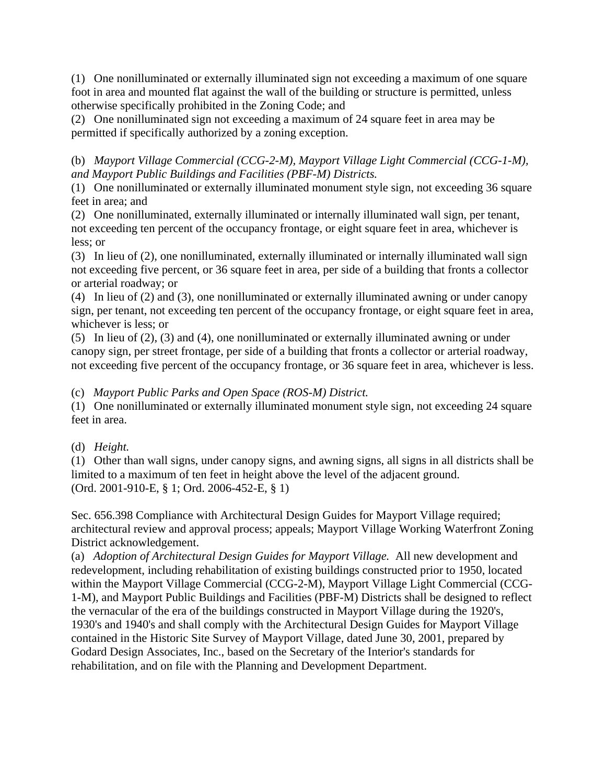(1) One nonilluminated or externally illuminated sign not exceeding a maximum of one square foot in area and mounted flat against the wall of the building or structure is permitted, unless otherwise specifically prohibited in the Zoning Code; and

(2) One nonilluminated sign not exceeding a maximum of 24 square feet in area may be permitted if specifically authorized by a zoning exception.

(b) *Mayport Village Commercial (CCG-2-M), Mayport Village Light Commercial (CCG-1-M), and Mayport Public Buildings and Facilities (PBF-M) Districts.*

(1) One nonilluminated or externally illuminated monument style sign, not exceeding 36 square feet in area; and

(2) One nonilluminated, externally illuminated or internally illuminated wall sign, per tenant, not exceeding ten percent of the occupancy frontage, or eight square feet in area, whichever is less; or

(3) In lieu of (2), one nonilluminated, externally illuminated or internally illuminated wall sign not exceeding five percent, or 36 square feet in area, per side of a building that fronts a collector or arterial roadway; or

(4) In lieu of (2) and (3), one nonilluminated or externally illuminated awning or under canopy sign, per tenant, not exceeding ten percent of the occupancy frontage, or eight square feet in area, whichever is less; or

(5) In lieu of (2), (3) and (4), one nonilluminated or externally illuminated awning or under canopy sign, per street frontage, per side of a building that fronts a collector or arterial roadway, not exceeding five percent of the occupancy frontage, or 36 square feet in area, whichever is less.

(c) *Mayport Public Parks and Open Space (ROS-M) District.*

(1) One nonilluminated or externally illuminated monument style sign, not exceeding 24 square feet in area.

# (d) *Height.*

(1) Other than wall signs, under canopy signs, and awning signs, all signs in all districts shall be limited to a maximum of ten feet in height above the level of the adjacent ground. (Ord. 2001-910-E, § 1; Ord. 2006-452-E, § 1)

Sec. 656.398 Compliance with Architectural Design Guides for Mayport Village required; architectural review and approval process; appeals; Mayport Village Working Waterfront Zoning District acknowledgement.

(a) *Adoption of Architectural Design Guides for Mayport Village.* All new development and redevelopment, including rehabilitation of existing buildings constructed prior to 1950, located within the Mayport Village Commercial (CCG-2-M), Mayport Village Light Commercial (CCG-1-M), and Mayport Public Buildings and Facilities (PBF-M) Districts shall be designed to reflect the vernacular of the era of the buildings constructed in Mayport Village during the 1920's, 1930's and 1940's and shall comply with the Architectural Design Guides for Mayport Village contained in the Historic Site Survey of Mayport Village, dated June 30, 2001, prepared by Godard Design Associates, Inc., based on the Secretary of the Interior's standards for rehabilitation, and on file with the Planning and Development Department.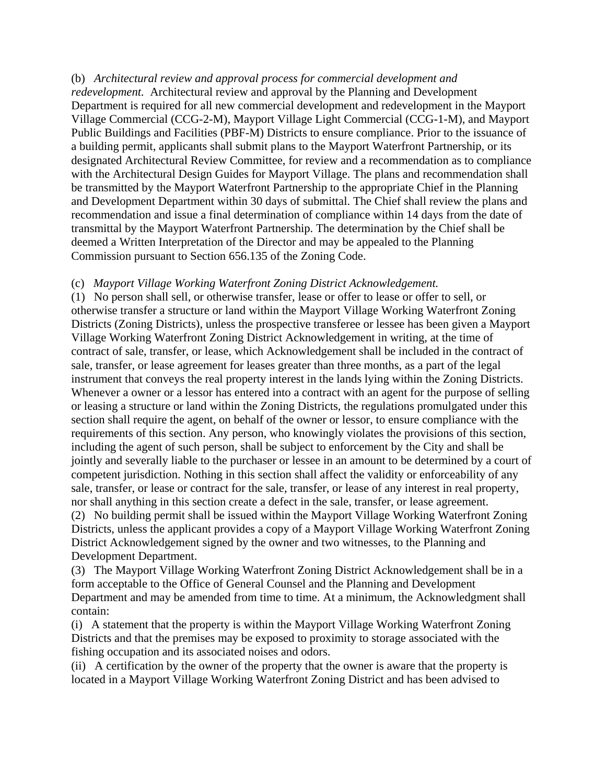#### (b) *Architectural review and approval process for commercial development and*

*redevelopment.* Architectural review and approval by the Planning and Development Department is required for all new commercial development and redevelopment in the Mayport Village Commercial (CCG-2-M), Mayport Village Light Commercial (CCG-1-M), and Mayport Public Buildings and Facilities (PBF-M) Districts to ensure compliance. Prior to the issuance of a building permit, applicants shall submit plans to the Mayport Waterfront Partnership, or its designated Architectural Review Committee, for review and a recommendation as to compliance with the Architectural Design Guides for Mayport Village. The plans and recommendation shall be transmitted by the Mayport Waterfront Partnership to the appropriate Chief in the Planning and Development Department within 30 days of submittal. The Chief shall review the plans and recommendation and issue a final determination of compliance within 14 days from the date of transmittal by the Mayport Waterfront Partnership. The determination by the Chief shall be deemed a Written Interpretation of the Director and may be appealed to the Planning Commission pursuant to Section 656.135 of the Zoning Code.

#### (c) *Mayport Village Working Waterfront Zoning District Acknowledgement.*

(1) No person shall sell, or otherwise transfer, lease or offer to lease or offer to sell, or otherwise transfer a structure or land within the Mayport Village Working Waterfront Zoning Districts (Zoning Districts), unless the prospective transferee or lessee has been given a Mayport Village Working Waterfront Zoning District Acknowledgement in writing, at the time of contract of sale, transfer, or lease, which Acknowledgement shall be included in the contract of sale, transfer, or lease agreement for leases greater than three months, as a part of the legal instrument that conveys the real property interest in the lands lying within the Zoning Districts. Whenever a owner or a lessor has entered into a contract with an agent for the purpose of selling or leasing a structure or land within the Zoning Districts, the regulations promulgated under this section shall require the agent, on behalf of the owner or lessor, to ensure compliance with the requirements of this section. Any person, who knowingly violates the provisions of this section, including the agent of such person, shall be subject to enforcement by the City and shall be jointly and severally liable to the purchaser or lessee in an amount to be determined by a court of competent jurisdiction. Nothing in this section shall affect the validity or enforceability of any sale, transfer, or lease or contract for the sale, transfer, or lease of any interest in real property, nor shall anything in this section create a defect in the sale, transfer, or lease agreement. (2) No building permit shall be issued within the Mayport Village Working Waterfront Zoning

Districts, unless the applicant provides a copy of a Mayport Village Working Waterfront Zoning District Acknowledgement signed by the owner and two witnesses, to the Planning and Development Department.

(3) The Mayport Village Working Waterfront Zoning District Acknowledgement shall be in a form acceptable to the Office of General Counsel and the Planning and Development Department and may be amended from time to time. At a minimum, the Acknowledgment shall contain:

(i) A statement that the property is within the Mayport Village Working Waterfront Zoning Districts and that the premises may be exposed to proximity to storage associated with the fishing occupation and its associated noises and odors.

(ii) A certification by the owner of the property that the owner is aware that the property is located in a Mayport Village Working Waterfront Zoning District and has been advised to